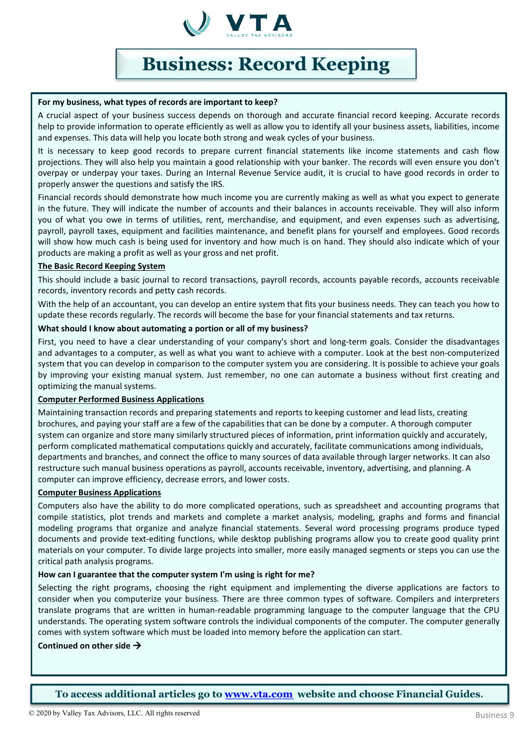

# **Business: Record Keeping**

### **For my business, what types of records are important to keep?**

A crucial aspect of your business success depends on thorough and accurate financial record keeping. Accurate records help to provide information to operate efficiently as well as allow you to identify all your business assets, liabilities, income and expenses. This data will help you locate both strong and weak cycles of your business.

It is necessary to keep good records to prepare current financial statements like income statements and cash flow projections. They will also help you maintain a good relationship with your banker. The records will even ensure you don't overpay or underpay your taxes. During an Internal Revenue Service audit, it is crucial to have good records in order to properly answer the questions and satisfy the IRS.

Financial records should demonstrate how much income you are currently making as well as what you expect to generate in the future. They will indicate the number of accounts and their balances in accounts receivable. They will also inform you of what you owe in terms of utilities, rent, merchandise, and equipment, and even expenses such as advertising, payroll, payroll taxes, equipment and facilities maintenance, and benefit plans for yourself and employees. Good records will show how much cash is being used for inventory and how much is on hand. They should also indicate which of your products are making a profit as well as your gross and net profit.

#### **The Basic Record Keeping System**

This should include a basic journal to record transactions, payroll records, accounts payable records, accounts receivable records, inventory records and petty cash records.

With the help of an accountant, you can develop an entire system that fits your business needs. They can teach you how to update these records regularly. The records will become the base for your financial statements and tax returns.

#### **What should I know about automating a portion or all of my business?**

First, you need to have a clear understanding of your company's short and long-term goals. Consider the disadvantages and advantages to a computer, as well as what you want to achieve with a computer. Look at the best non-computerized system that you can develop in comparison to the computer system you are considering. It is possible to achieve your goals by improving your existing manual system. Just remember, no one can automate a business without first creating and optimizing the manual systems.

# **Computer Performed Business Applications**

Maintaining transaction records and preparing statements and reports to keeping customer and lead lists, creating brochures, and paying your staff are a few of the capabilities that can be done by a computer. A thorough computer system can organize and store many similarly structured pieces of information, print information quickly and accurately, perform complicated mathematical computations quickly and accurately, facilitate communications among individuals, departments and branches, and connect the office to many sources of data available through larger networks. It can also restructure such manual business operations as payroll, accounts receivable, inventory, advertising, and planning. A computer can improve efficiency, decrease errors, and lower costs.

# **Computer Business Applications**

Computers also have the ability to do more complicated operations, such as spreadsheet and accounting programs that compile statistics, plot trends and markets and complete a market analysis, modeling, graphs and forms and financial modeling programs that organize and analyze financial statements. Several word processing programs produce typed documents and provide text-editing functions, while desktop publishing programs allow you to create good quality print materials on your computer. To divide large projects into smaller, more easily managed segments or steps you can use the critical path analysis programs.

# **How can I guarantee that the computersystem I'm using is right for me?**

Selecting the right programs, choosing the right equipment and implementing the diverse applications are factors to consider when you computerize your business. There are three common types of software. Compilers and interpreters translate programs that are written in human-readable programming language to the computer language that the CPU understands. The operating system software controls the individual components of the computer. The computer generally comes with system software which must be loaded into memory before the application can start.

#### **Continued on other side**

**To access additional articles go to [www.vta.com](http://www.vta.com/) website and choose Financial Guides.**